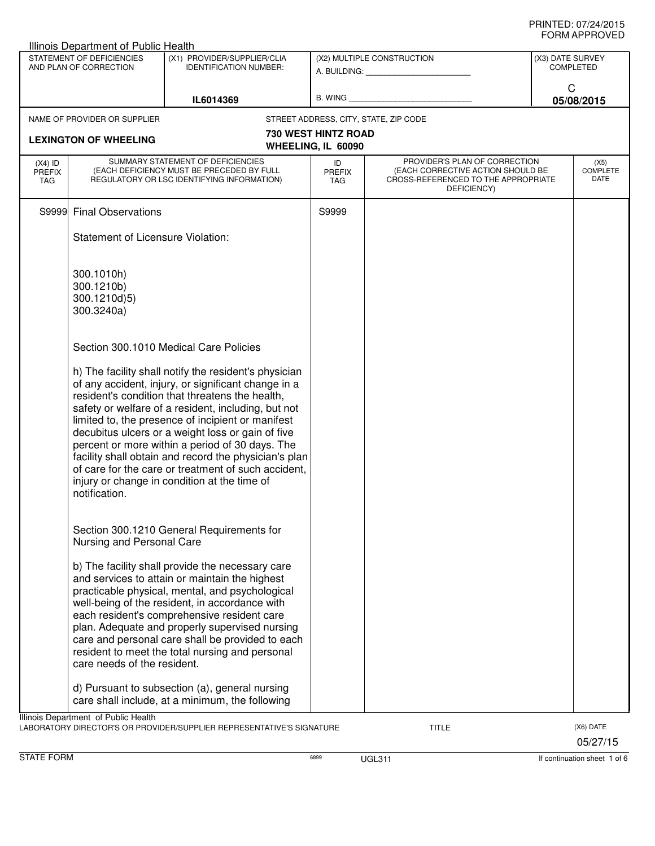|                                          | Illinois Department of Public Health                   |                                                                                                                                                                                                                                                                                                                                                                                                                                                                                                                                                     |                                   |                                                                                                                          |                  |                                        |
|------------------------------------------|--------------------------------------------------------|-----------------------------------------------------------------------------------------------------------------------------------------------------------------------------------------------------------------------------------------------------------------------------------------------------------------------------------------------------------------------------------------------------------------------------------------------------------------------------------------------------------------------------------------------------|-----------------------------------|--------------------------------------------------------------------------------------------------------------------------|------------------|----------------------------------------|
|                                          | STATEMENT OF DEFICIENCIES<br>AND PLAN OF CORRECTION    | (X1) PROVIDER/SUPPLIER/CLIA<br><b>IDENTIFICATION NUMBER:</b>                                                                                                                                                                                                                                                                                                                                                                                                                                                                                        |                                   | (X2) MULTIPLE CONSTRUCTION                                                                                               | (X3) DATE SURVEY | <b>COMPLETED</b>                       |
|                                          |                                                        | IL6014369                                                                                                                                                                                                                                                                                                                                                                                                                                                                                                                                           |                                   |                                                                                                                          | C                | 05/08/2015                             |
|                                          | NAME OF PROVIDER OR SUPPLIER                           |                                                                                                                                                                                                                                                                                                                                                                                                                                                                                                                                                     |                                   | STREET ADDRESS, CITY, STATE, ZIP CODE                                                                                    |                  |                                        |
|                                          | <b>LEXINGTON OF WHEELING</b>                           |                                                                                                                                                                                                                                                                                                                                                                                                                                                                                                                                                     | <b>730 WEST HINTZ ROAD</b>        |                                                                                                                          |                  |                                        |
|                                          |                                                        |                                                                                                                                                                                                                                                                                                                                                                                                                                                                                                                                                     | WHEELING, IL 60090                |                                                                                                                          |                  |                                        |
| $(X4)$ ID<br><b>PREFIX</b><br><b>TAG</b> |                                                        | SUMMARY STATEMENT OF DEFICIENCIES<br>(EACH DEFICIENCY MUST BE PRECEDED BY FULL<br>REGULATORY OR LSC IDENTIFYING INFORMATION)                                                                                                                                                                                                                                                                                                                                                                                                                        | ID<br><b>PREFIX</b><br><b>TAG</b> | PROVIDER'S PLAN OF CORRECTION<br>(EACH CORRECTIVE ACTION SHOULD BE<br>CROSS-REFERENCED TO THE APPROPRIATE<br>DEFICIENCY) |                  | (X5)<br><b>COMPLETE</b><br><b>DATE</b> |
|                                          | S9999 Final Observations                               |                                                                                                                                                                                                                                                                                                                                                                                                                                                                                                                                                     | S9999                             |                                                                                                                          |                  |                                        |
|                                          | Statement of Licensure Violation:                      |                                                                                                                                                                                                                                                                                                                                                                                                                                                                                                                                                     |                                   |                                                                                                                          |                  |                                        |
|                                          | 300.1010h)<br>300.1210b)<br>300.1210d)5)<br>300.3240a) |                                                                                                                                                                                                                                                                                                                                                                                                                                                                                                                                                     |                                   |                                                                                                                          |                  |                                        |
|                                          |                                                        | Section 300.1010 Medical Care Policies                                                                                                                                                                                                                                                                                                                                                                                                                                                                                                              |                                   |                                                                                                                          |                  |                                        |
|                                          | notification.                                          | h) The facility shall notify the resident's physician<br>of any accident, injury, or significant change in a<br>resident's condition that threatens the health,<br>safety or welfare of a resident, including, but not<br>limited to, the presence of incipient or manifest<br>decubitus ulcers or a weight loss or gain of five<br>percent or more within a period of 30 days. The<br>facility shall obtain and record the physician's plan<br>of care for the care or treatment of such accident.<br>injury or change in condition at the time of |                                   |                                                                                                                          |                  |                                        |
|                                          | Nursing and Personal Care                              | Section 300.1210 General Requirements for                                                                                                                                                                                                                                                                                                                                                                                                                                                                                                           |                                   |                                                                                                                          |                  |                                        |
|                                          | care needs of the resident.                            | b) The facility shall provide the necessary care<br>and services to attain or maintain the highest<br>practicable physical, mental, and psychological<br>well-being of the resident, in accordance with<br>each resident's comprehensive resident care<br>plan. Adequate and properly supervised nursing<br>care and personal care shall be provided to each<br>resident to meet the total nursing and personal                                                                                                                                     |                                   |                                                                                                                          |                  |                                        |
|                                          |                                                        | d) Pursuant to subsection (a), general nursing<br>care shall include, at a minimum, the following                                                                                                                                                                                                                                                                                                                                                                                                                                                   |                                   |                                                                                                                          |                  |                                        |
|                                          | Illinois Department of Public Health                   | LABORATORY DIRECTOR'S OR PROVIDER/SUPPLIER REPRESENTATIVE'S SIGNATURE                                                                                                                                                                                                                                                                                                                                                                                                                                                                               |                                   | <b>TITLE</b>                                                                                                             |                  | (X6) DATE<br>05/27/15                  |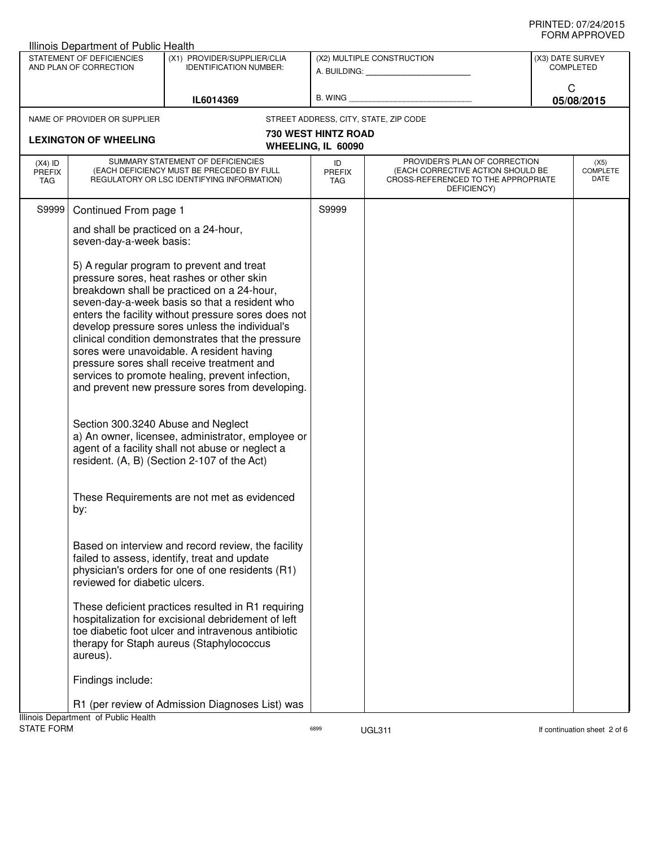| <b>Illinois Department of Public Health</b>         |                                                                                                                              |                                                                                                                                                                                                                                                                                                                                                                                                                                                                                                                                                                                                                                                                                                                                                             |                                                         |                                                                                                                          |                                 |                 |  |
|-----------------------------------------------------|------------------------------------------------------------------------------------------------------------------------------|-------------------------------------------------------------------------------------------------------------------------------------------------------------------------------------------------------------------------------------------------------------------------------------------------------------------------------------------------------------------------------------------------------------------------------------------------------------------------------------------------------------------------------------------------------------------------------------------------------------------------------------------------------------------------------------------------------------------------------------------------------------|---------------------------------------------------------|--------------------------------------------------------------------------------------------------------------------------|---------------------------------|-----------------|--|
| STATEMENT OF DEFICIENCIES<br>AND PLAN OF CORRECTION |                                                                                                                              | (X1) PROVIDER/SUPPLIER/CLIA<br><b>IDENTIFICATION NUMBER:</b>                                                                                                                                                                                                                                                                                                                                                                                                                                                                                                                                                                                                                                                                                                | (X2) MULTIPLE CONSTRUCTION<br>A. BUILDING: A. BUILDING: |                                                                                                                          | (X3) DATE SURVEY<br>COMPLETED   |                 |  |
|                                                     |                                                                                                                              | IL6014369                                                                                                                                                                                                                                                                                                                                                                                                                                                                                                                                                                                                                                                                                                                                                   | B. WING                                                 |                                                                                                                          |                                 | C<br>05/08/2015 |  |
|                                                     | NAME OF PROVIDER OR SUPPLIER                                                                                                 |                                                                                                                                                                                                                                                                                                                                                                                                                                                                                                                                                                                                                                                                                                                                                             |                                                         | STREET ADDRESS, CITY, STATE, ZIP CODE                                                                                    |                                 |                 |  |
|                                                     | <b>LEXINGTON OF WHEELING</b>                                                                                                 |                                                                                                                                                                                                                                                                                                                                                                                                                                                                                                                                                                                                                                                                                                                                                             | <b>730 WEST HINTZ ROAD</b><br>WHEELING, IL 60090        |                                                                                                                          |                                 |                 |  |
| $(X4)$ ID<br><b>PREFIX</b><br><b>TAG</b>            | SUMMARY STATEMENT OF DEFICIENCIES<br>(EACH DEFICIENCY MUST BE PRECEDED BY FULL<br>REGULATORY OR LSC IDENTIFYING INFORMATION) |                                                                                                                                                                                                                                                                                                                                                                                                                                                                                                                                                                                                                                                                                                                                                             | ID<br><b>PREFIX</b><br>TAG                              | PROVIDER'S PLAN OF CORRECTION<br>(EACH CORRECTIVE ACTION SHOULD BE<br>CROSS-REFERENCED TO THE APPROPRIATE<br>DEFICIENCY) | (X5)<br><b>COMPLETE</b><br>DATE |                 |  |
| S9999                                               | Continued From page 1                                                                                                        |                                                                                                                                                                                                                                                                                                                                                                                                                                                                                                                                                                                                                                                                                                                                                             | S9999                                                   |                                                                                                                          |                                 |                 |  |
|                                                     | and shall be practiced on a 24-hour,<br>seven-day-a-week basis:                                                              |                                                                                                                                                                                                                                                                                                                                                                                                                                                                                                                                                                                                                                                                                                                                                             |                                                         |                                                                                                                          |                                 |                 |  |
|                                                     | Section 300.3240 Abuse and Neglect<br>by:                                                                                    | 5) A regular program to prevent and treat<br>pressure sores, heat rashes or other skin<br>breakdown shall be practiced on a 24-hour,<br>seven-day-a-week basis so that a resident who<br>enters the facility without pressure sores does not<br>develop pressure sores unless the individual's<br>clinical condition demonstrates that the pressure<br>sores were unavoidable. A resident having<br>pressure sores shall receive treatment and<br>services to promote healing, prevent infection,<br>and prevent new pressure sores from developing.<br>a) An owner, licensee, administrator, employee or<br>agent of a facility shall not abuse or neglect a<br>resident. (A, B) (Section 2-107 of the Act)<br>These Requirements are not met as evidenced |                                                         |                                                                                                                          |                                 |                 |  |
|                                                     | reviewed for diabetic ulcers.                                                                                                | Based on interview and record review, the facility<br>failed to assess, identify, treat and update<br>physician's orders for one of one residents (R1)                                                                                                                                                                                                                                                                                                                                                                                                                                                                                                                                                                                                      |                                                         |                                                                                                                          |                                 |                 |  |
|                                                     | aureus).                                                                                                                     | These deficient practices resulted in R1 requiring<br>hospitalization for excisional debridement of left<br>toe diabetic foot ulcer and intravenous antibiotic<br>therapy for Staph aureus (Staphylococcus                                                                                                                                                                                                                                                                                                                                                                                                                                                                                                                                                  |                                                         |                                                                                                                          |                                 |                 |  |
|                                                     | Findings include:                                                                                                            |                                                                                                                                                                                                                                                                                                                                                                                                                                                                                                                                                                                                                                                                                                                                                             |                                                         |                                                                                                                          |                                 |                 |  |
|                                                     |                                                                                                                              | R1 (per review of Admission Diagnoses List) was                                                                                                                                                                                                                                                                                                                                                                                                                                                                                                                                                                                                                                                                                                             |                                                         |                                                                                                                          |                                 |                 |  |
|                                                     | Illinois Department of Public Health                                                                                         |                                                                                                                                                                                                                                                                                                                                                                                                                                                                                                                                                                                                                                                                                                                                                             |                                                         |                                                                                                                          |                                 |                 |  |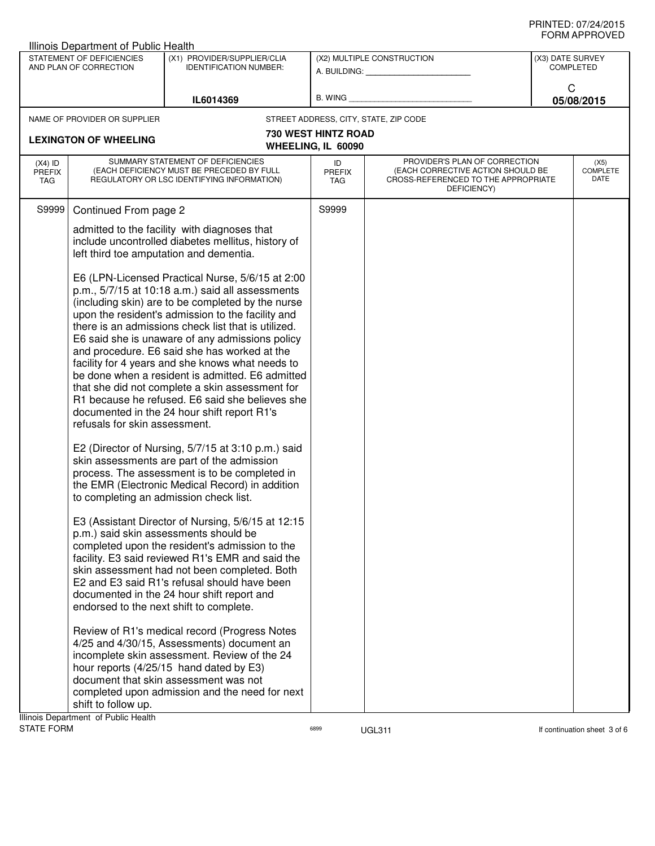| Illinois Department of Public Health                                                                                             |                                                                                                                              |                                                                                                                                                                                                                                                                                                                                                                                                                                                                                                                                                                                                                                       |                                                         |                                                                                                                          |                                      |  |
|----------------------------------------------------------------------------------------------------------------------------------|------------------------------------------------------------------------------------------------------------------------------|---------------------------------------------------------------------------------------------------------------------------------------------------------------------------------------------------------------------------------------------------------------------------------------------------------------------------------------------------------------------------------------------------------------------------------------------------------------------------------------------------------------------------------------------------------------------------------------------------------------------------------------|---------------------------------------------------------|--------------------------------------------------------------------------------------------------------------------------|--------------------------------------|--|
| STATEMENT OF DEFICIENCIES<br>(X1) PROVIDER/SUPPLIER/CLIA<br>AND PLAN OF CORRECTION<br><b>IDENTIFICATION NUMBER:</b><br>IL6014369 |                                                                                                                              |                                                                                                                                                                                                                                                                                                                                                                                                                                                                                                                                                                                                                                       | (X2) MULTIPLE CONSTRUCTION<br>A. BUILDING: A. BUILDING: |                                                                                                                          | (X3) DATE SURVEY<br><b>COMPLETED</b> |  |
|                                                                                                                                  |                                                                                                                              | B. WING                                                                                                                                                                                                                                                                                                                                                                                                                                                                                                                                                                                                                               |                                                         | C<br>05/08/2015                                                                                                          |                                      |  |
|                                                                                                                                  | NAME OF PROVIDER OR SUPPLIER                                                                                                 |                                                                                                                                                                                                                                                                                                                                                                                                                                                                                                                                                                                                                                       |                                                         | STREET ADDRESS, CITY, STATE, ZIP CODE                                                                                    |                                      |  |
|                                                                                                                                  | <b>LEXINGTON OF WHEELING</b>                                                                                                 |                                                                                                                                                                                                                                                                                                                                                                                                                                                                                                                                                                                                                                       | <b>730 WEST HINTZ ROAD</b><br>WHEELING, IL 60090        |                                                                                                                          |                                      |  |
| $(X4)$ ID<br><b>PREFIX</b><br><b>TAG</b>                                                                                         | SUMMARY STATEMENT OF DEFICIENCIES<br>(EACH DEFICIENCY MUST BE PRECEDED BY FULL<br>REGULATORY OR LSC IDENTIFYING INFORMATION) |                                                                                                                                                                                                                                                                                                                                                                                                                                                                                                                                                                                                                                       | ID<br><b>PREFIX</b><br><b>TAG</b>                       | PROVIDER'S PLAN OF CORRECTION<br>(EACH CORRECTIVE ACTION SHOULD BE<br>CROSS-REFERENCED TO THE APPROPRIATE<br>DEFICIENCY) | (X5)<br><b>COMPLETE</b><br>DATE      |  |
| S9999                                                                                                                            | Continued From page 2                                                                                                        |                                                                                                                                                                                                                                                                                                                                                                                                                                                                                                                                                                                                                                       | S9999                                                   |                                                                                                                          |                                      |  |
|                                                                                                                                  |                                                                                                                              | admitted to the facility with diagnoses that<br>include uncontrolled diabetes mellitus, history of<br>left third toe amputation and dementia.                                                                                                                                                                                                                                                                                                                                                                                                                                                                                         |                                                         |                                                                                                                          |                                      |  |
|                                                                                                                                  | refusals for skin assessment.                                                                                                | E6 (LPN-Licensed Practical Nurse, 5/6/15 at 2:00<br>p.m., 5/7/15 at 10:18 a.m.) said all assessments<br>(including skin) are to be completed by the nurse<br>upon the resident's admission to the facility and<br>there is an admissions check list that is utilized.<br>E6 said she is unaware of any admissions policy<br>and procedure. E6 said she has worked at the<br>facility for 4 years and she knows what needs to<br>be done when a resident is admitted. E6 admitted<br>that she did not complete a skin assessment for<br>R1 because he refused. E6 said she believes she<br>documented in the 24 hour shift report R1's |                                                         |                                                                                                                          |                                      |  |
|                                                                                                                                  | to completing an admission check list.                                                                                       | E2 (Director of Nursing, 5/7/15 at 3:10 p.m.) said<br>skin assessments are part of the admission<br>process. The assessment is to be completed in<br>the EMR (Electronic Medical Record) in addition                                                                                                                                                                                                                                                                                                                                                                                                                                  |                                                         |                                                                                                                          |                                      |  |
|                                                                                                                                  | endorsed to the next shift to complete.                                                                                      | E3 (Assistant Director of Nursing, 5/6/15 at 12:15<br>p.m.) said skin assessments should be<br>completed upon the resident's admission to the<br>facility. E3 said reviewed R1's EMR and said the<br>skin assessment had not been completed. Both<br>E2 and E3 said R1's refusal should have been<br>documented in the 24 hour shift report and                                                                                                                                                                                                                                                                                       |                                                         |                                                                                                                          |                                      |  |
|                                                                                                                                  | shift to follow up.<br>Ilinois Department of Public Health                                                                   | Review of R1's medical record (Progress Notes<br>4/25 and 4/30/15, Assessments) document an<br>incomplete skin assessment. Review of the 24<br>hour reports (4/25/15 hand dated by E3)<br>document that skin assessment was not<br>completed upon admission and the need for next                                                                                                                                                                                                                                                                                                                                                     |                                                         |                                                                                                                          |                                      |  |

Illinois Department of Public Health<br>STATE FORM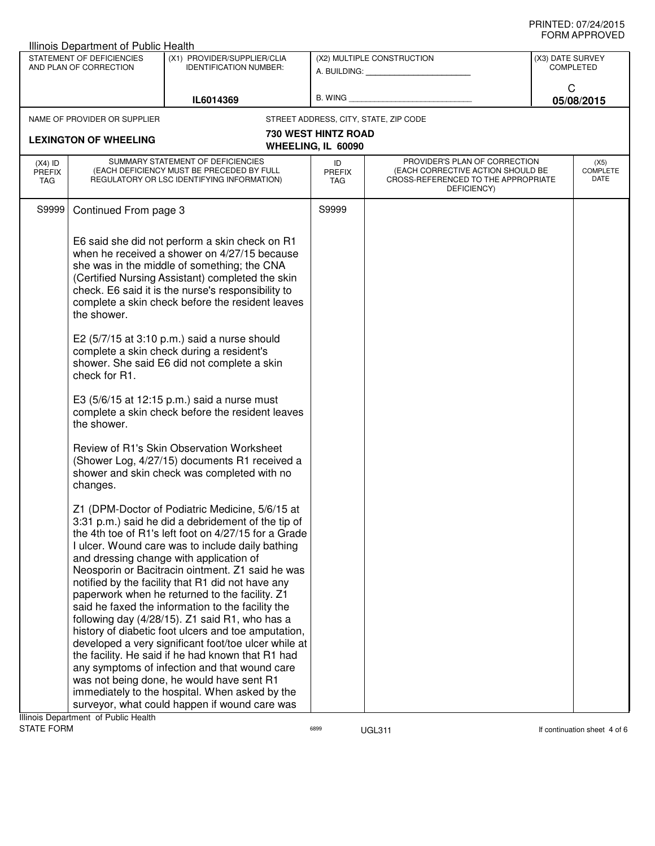| STATEMENT OF DEFICIENCIES<br>(X1) PROVIDER/SUPPLIER/CLIA<br>(X2) MULTIPLE CONSTRUCTION<br>AND PLAN OF CORRECTION<br><b>IDENTIFICATION NUMBER:</b><br>A. BUILDING: A. BUILDING:                                                                                                                                                                                                                                                                                                                                                                                                                                                                                                                                                                                                                                                                                                                                                                                                                                                                                                                                                                                                                                                                                                                                                                                                                                                                                                                                                                                         |                                      |  |
|------------------------------------------------------------------------------------------------------------------------------------------------------------------------------------------------------------------------------------------------------------------------------------------------------------------------------------------------------------------------------------------------------------------------------------------------------------------------------------------------------------------------------------------------------------------------------------------------------------------------------------------------------------------------------------------------------------------------------------------------------------------------------------------------------------------------------------------------------------------------------------------------------------------------------------------------------------------------------------------------------------------------------------------------------------------------------------------------------------------------------------------------------------------------------------------------------------------------------------------------------------------------------------------------------------------------------------------------------------------------------------------------------------------------------------------------------------------------------------------------------------------------------------------------------------------------|--------------------------------------|--|
|                                                                                                                                                                                                                                                                                                                                                                                                                                                                                                                                                                                                                                                                                                                                                                                                                                                                                                                                                                                                                                                                                                                                                                                                                                                                                                                                                                                                                                                                                                                                                                        | (X3) DATE SURVEY<br><b>COMPLETED</b> |  |
| B. WING <b>Example 2008</b><br>IL6014369                                                                                                                                                                                                                                                                                                                                                                                                                                                                                                                                                                                                                                                                                                                                                                                                                                                                                                                                                                                                                                                                                                                                                                                                                                                                                                                                                                                                                                                                                                                               | C<br>05/08/2015                      |  |
| STREET ADDRESS, CITY, STATE, ZIP CODE<br>NAME OF PROVIDER OR SUPPLIER                                                                                                                                                                                                                                                                                                                                                                                                                                                                                                                                                                                                                                                                                                                                                                                                                                                                                                                                                                                                                                                                                                                                                                                                                                                                                                                                                                                                                                                                                                  |                                      |  |
| <b>730 WEST HINTZ ROAD</b><br><b>LEXINGTON OF WHEELING</b><br>WHEELING, IL 60090                                                                                                                                                                                                                                                                                                                                                                                                                                                                                                                                                                                                                                                                                                                                                                                                                                                                                                                                                                                                                                                                                                                                                                                                                                                                                                                                                                                                                                                                                       |                                      |  |
| SUMMARY STATEMENT OF DEFICIENCIES<br>PROVIDER'S PLAN OF CORRECTION<br>$(X4)$ ID<br>ID<br>(EACH DEFICIENCY MUST BE PRECEDED BY FULL<br>(EACH CORRECTIVE ACTION SHOULD BE<br><b>PREFIX</b><br><b>PREFIX</b><br>REGULATORY OR LSC IDENTIFYING INFORMATION)<br>CROSS-REFERENCED TO THE APPROPRIATE<br>TAG<br>TAG<br>DEFICIENCY)                                                                                                                                                                                                                                                                                                                                                                                                                                                                                                                                                                                                                                                                                                                                                                                                                                                                                                                                                                                                                                                                                                                                                                                                                                            | (X5)<br><b>COMPLETE</b><br>DATE      |  |
| S9999<br>Continued From page 3<br>S9999                                                                                                                                                                                                                                                                                                                                                                                                                                                                                                                                                                                                                                                                                                                                                                                                                                                                                                                                                                                                                                                                                                                                                                                                                                                                                                                                                                                                                                                                                                                                |                                      |  |
| E6 said she did not perform a skin check on R1<br>when he received a shower on 4/27/15 because<br>she was in the middle of something; the CNA<br>(Certified Nursing Assistant) completed the skin<br>check. E6 said it is the nurse's responsibility to<br>complete a skin check before the resident leaves<br>the shower.<br>E2 (5/7/15 at 3:10 p.m.) said a nurse should<br>complete a skin check during a resident's<br>shower. She said E6 did not complete a skin<br>check for R1.<br>E3 (5/6/15 at 12:15 p.m.) said a nurse must<br>complete a skin check before the resident leaves<br>the shower.<br>Review of R1's Skin Observation Worksheet<br>(Shower Log, 4/27/15) documents R1 received a<br>shower and skin check was completed with no<br>changes.<br>Z1 (DPM-Doctor of Podiatric Medicine, 5/6/15 at<br>3:31 p.m.) said he did a debridement of the tip of<br>the 4th toe of R1's left foot on 4/27/15 for a Grade<br>I ulcer. Wound care was to include daily bathing<br>and dressing change with application of<br>Neosporin or Bacitracin ointment. Z1 said he was<br>notified by the facility that R1 did not have any<br>paperwork when he returned to the facility. Z1<br>said he faxed the information to the facility the<br>following day (4/28/15). Z1 said R1, who has a<br>history of diabetic foot ulcers and toe amputation,<br>developed a very significant foot/toe ulcer while at<br>the facility. He said if he had known that R1 had<br>any symptoms of infection and that wound care<br>was not being done, he would have sent R1 |                                      |  |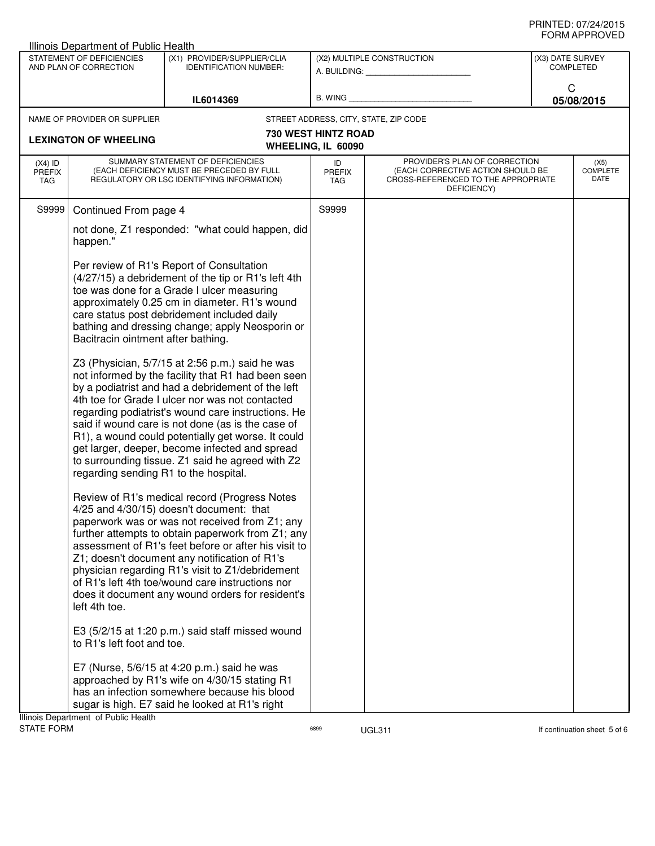| <b>Illinois Department of Public Health</b>                                                                         |                                                                                                                              |                                                                                                                                                                                                                                                                                                                                                                                                                                                                                      |                                                         |                                                                                                                          |                                      |            |  |
|---------------------------------------------------------------------------------------------------------------------|------------------------------------------------------------------------------------------------------------------------------|--------------------------------------------------------------------------------------------------------------------------------------------------------------------------------------------------------------------------------------------------------------------------------------------------------------------------------------------------------------------------------------------------------------------------------------------------------------------------------------|---------------------------------------------------------|--------------------------------------------------------------------------------------------------------------------------|--------------------------------------|------------|--|
| STATEMENT OF DEFICIENCIES<br>(X1) PROVIDER/SUPPLIER/CLIA<br>AND PLAN OF CORRECTION<br><b>IDENTIFICATION NUMBER:</b> |                                                                                                                              |                                                                                                                                                                                                                                                                                                                                                                                                                                                                                      | (X2) MULTIPLE CONSTRUCTION<br>A. BUILDING: A. BUILDING: |                                                                                                                          | (X3) DATE SURVEY<br><b>COMPLETED</b> |            |  |
|                                                                                                                     |                                                                                                                              | IL6014369                                                                                                                                                                                                                                                                                                                                                                                                                                                                            | B. WING                                                 |                                                                                                                          | C                                    | 05/08/2015 |  |
|                                                                                                                     | NAME OF PROVIDER OR SUPPLIER                                                                                                 |                                                                                                                                                                                                                                                                                                                                                                                                                                                                                      |                                                         | STREET ADDRESS, CITY, STATE, ZIP CODE                                                                                    |                                      |            |  |
|                                                                                                                     | <b>LEXINGTON OF WHEELING</b>                                                                                                 |                                                                                                                                                                                                                                                                                                                                                                                                                                                                                      | <b>730 WEST HINTZ ROAD</b><br>WHEELING, IL 60090        |                                                                                                                          |                                      |            |  |
| $(X4)$ ID<br><b>PREFIX</b><br>TAG                                                                                   | SUMMARY STATEMENT OF DEFICIENCIES<br>(EACH DEFICIENCY MUST BE PRECEDED BY FULL<br>REGULATORY OR LSC IDENTIFYING INFORMATION) |                                                                                                                                                                                                                                                                                                                                                                                                                                                                                      | ID<br><b>PREFIX</b><br>TAG                              | PROVIDER'S PLAN OF CORRECTION<br>(EACH CORRECTIVE ACTION SHOULD BE<br>CROSS-REFERENCED TO THE APPROPRIATE<br>DEFICIENCY) | <b>COMPLETE</b>                      |            |  |
| S9999                                                                                                               | Continued From page 4                                                                                                        |                                                                                                                                                                                                                                                                                                                                                                                                                                                                                      | S9999                                                   |                                                                                                                          |                                      |            |  |
|                                                                                                                     | happen."                                                                                                                     | not done, Z1 responded: "what could happen, did                                                                                                                                                                                                                                                                                                                                                                                                                                      |                                                         |                                                                                                                          |                                      |            |  |
|                                                                                                                     | Bacitracin ointment after bathing.                                                                                           | Per review of R1's Report of Consultation<br>(4/27/15) a debridement of the tip or R1's left 4th<br>toe was done for a Grade I ulcer measuring<br>approximately 0.25 cm in diameter. R1's wound<br>care status post debridement included daily<br>bathing and dressing change; apply Neosporin or                                                                                                                                                                                    |                                                         |                                                                                                                          |                                      |            |  |
|                                                                                                                     | regarding sending R1 to the hospital.                                                                                        | Z3 (Physician, 5/7/15 at 2:56 p.m.) said he was<br>not informed by the facility that R1 had been seen<br>by a podiatrist and had a debridement of the left<br>4th toe for Grade I ulcer nor was not contacted<br>regarding podiatrist's wound care instructions. He<br>said if wound care is not done (as is the case of<br>R1), a wound could potentially get worse. It could<br>get larger, deeper, become infected and spread<br>to surrounding tissue. Z1 said he agreed with Z2 |                                                         |                                                                                                                          |                                      |            |  |
|                                                                                                                     | left 4th toe.                                                                                                                | Review of R1's medical record (Progress Notes<br>4/25 and 4/30/15) doesn't document: that<br>paperwork was or was not received from Z1; any<br>further attempts to obtain paperwork from Z1; any<br>assessment of R1's feet before or after his visit to<br>Z1; doesn't document any notification of R1's<br>physician regarding R1's visit to Z1/debridement<br>of R1's left 4th toe/wound care instructions nor<br>does it document any wound orders for resident's                |                                                         |                                                                                                                          |                                      |            |  |
|                                                                                                                     | to R1's left foot and toe.                                                                                                   | E3 (5/2/15 at 1:20 p.m.) said staff missed wound                                                                                                                                                                                                                                                                                                                                                                                                                                     |                                                         |                                                                                                                          |                                      |            |  |
|                                                                                                                     | Illinois Department of Public Health                                                                                         | E7 (Nurse, 5/6/15 at 4:20 p.m.) said he was<br>approached by R1's wife on 4/30/15 stating R1<br>has an infection somewhere because his blood<br>sugar is high. E7 said he looked at R1's right                                                                                                                                                                                                                                                                                       |                                                         |                                                                                                                          |                                      |            |  |